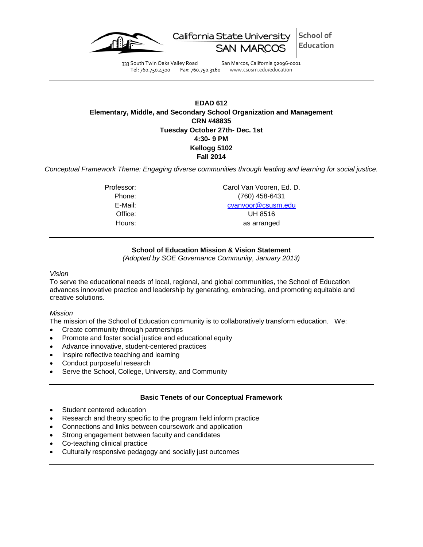

School of California State University Education

333 South Twin Oaks Valley Road San Marcos, California 92096-0001 Tel: 760.750.4300 Fax: 760.750.3160 www.csusm.edu/education

**EDAD 612 Elementary, Middle, and Secondary School Organization and Management CRN #48835 Tuesday October 27th- Dec. 1st 4:30- 9 PM Kellogg 5102 Fall 2014**

*Conceptual Framework Theme: Engaging diverse communities through leading and learning for social justice.*

Professor: Carol Van Vooren, Ed. D. Phone: (760) 458-6431 E-Mail: [cvanvoor@csusm.edu](mailto:cvanvoor@csusm.edu) Office: UH 8516 Hours: as arranged

# **School of Education Mission & Vision Statement**

*(Adopted by SOE Governance Community, January 2013)*

### *Vision*

To serve the educational needs of local, regional, and global communities, the School of Education advances innovative practice and leadership by generating, embracing, and promoting equitable and creative solutions.

### *Mission*

The mission of the School of Education community is to collaboratively transform education. We:

- Create community through partnerships
- Promote and foster social justice and educational equity
- Advance innovative, student-centered practices
- Inspire reflective teaching and learning
- Conduct purposeful research
- Serve the School, College, University, and Community

# **Basic Tenets of our Conceptual Framework**

- Student centered education
- Research and theory specific to the program field inform practice
- Connections and links between coursework and application
- Strong engagement between faculty and candidates
- Co-teaching clinical practice
- Culturally responsive pedagogy and socially just outcomes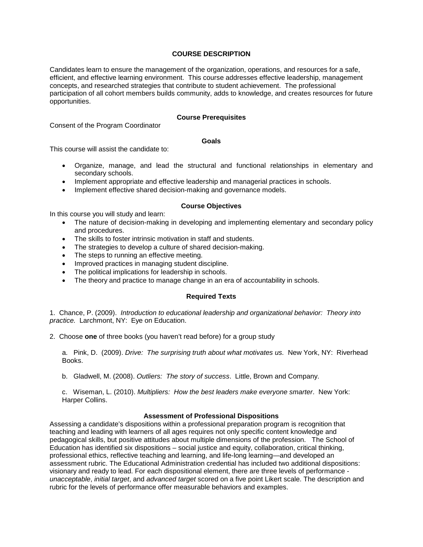## **COURSE DESCRIPTION**

Candidates learn to ensure the management of the organization, operations, and resources for a safe, efficient, and effective learning environment. This course addresses effective leadership, management concepts, and researched strategies that contribute to student achievement. The professional participation of all cohort members builds community, adds to knowledge, and creates resources for future opportunities.

### **Course Prerequisites**

Consent of the Program Coordinator

### **Goals**

This course will assist the candidate to:

- Organize, manage, and lead the structural and functional relationships in elementary and secondary schools.
- Implement appropriate and effective leadership and managerial practices in schools.
- Implement effective shared decision-making and governance models.

## **Course Objectives**

In this course you will study and learn:

- The nature of decision-making in developing and implementing elementary and secondary policy and procedures.
- The skills to foster intrinsic motivation in staff and students.
- The strategies to develop a culture of shared decision-making.
- The steps to running an effective meeting.
- Improved practices in managing student discipline.
- The political implications for leadership in schools.
- The theory and practice to manage change in an era of accountability in schools.

# **Required Texts**

1. Chance, P. (2009). *Introduction to educational leadership and organizational behavior: Theory into practice.* Larchmont, NY: Eye on Education.

2. Choose **one** of three books (you haven't read before) for a group study

a. Pink, D. (2009). *Drive: The surprising truth about what motivates us.* New York, NY: Riverhead Books.

b. Gladwell, M. (2008). *Outliers: The story of success*. Little, Brown and Company.

c. Wiseman, L. (2010). *Multipliers: How the best leaders make everyone smarter*. New York: Harper Collins.

### **Assessment of Professional Dispositions**

Assessing a candidate's dispositions within a professional preparation program is recognition that teaching and leading with learners of all ages requires not only specific content knowledge and pedagogical skills, but positive attitudes about multiple dimensions of the profession. The School of Education has identified six dispositions – social justice and equity, collaboration, critical thinking, professional ethics, reflective teaching and learning, and life-long learning—and developed an assessment rubric. The Educational Administration credential has included two additional dispositions: visionary and ready to lead. For each dispositional element, there are three levels of performance *unacceptable*, *initial target*, and *advanced target* scored on a five point Likert scale. The description and rubric for the levels of performance offer measurable behaviors and examples.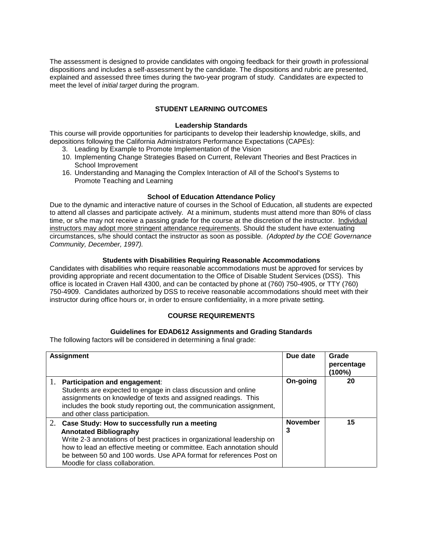The assessment is designed to provide candidates with ongoing feedback for their growth in professional dispositions and includes a self-assessment by the candidate. The dispositions and rubric are presented, explained and assessed three times during the two-year program of study. Candidates are expected to meet the level of *initial target* during the program.

# **STUDENT LEARNING OUTCOMES**

#### **Leadership Standards**

This course will provide opportunities for participants to develop their leadership knowledge, skills, and depositions following the California Administrators Performance Expectations (CAPEs):

- 3. Leading by Example to Promote Implementation of the Vision
- 10. Implementing Change Strategies Based on Current, Relevant Theories and Best Practices in School Improvement
- 16. Understanding and Managing the Complex Interaction of All of the School's Systems to Promote Teaching and Learning

### **School of Education Attendance Policy**

Due to the dynamic and interactive nature of courses in the School of Education, all students are expected to attend all classes and participate actively. At a minimum, students must attend more than 80% of class time, or s/he may not receive a passing grade for the course at the discretion of the instructor. Individual instructors may adopt more stringent attendance requirements. Should the student have extenuating circumstances, s/he should contact the instructor as soon as possible. *(Adopted by the COE Governance Community, December, 1997).*

## **Students with Disabilities Requiring Reasonable Accommodations**

Candidates with disabilities who require reasonable accommodations must be approved for services by providing appropriate and recent documentation to the Office of Disable Student Services (DSS). This office is located in Craven Hall 4300, and can be contacted by phone at (760) 750-4905, or TTY (760) 750-4909. Candidates authorized by DSS to receive reasonable accommodations should meet with their instructor during office hours or, in order to ensure confidentiality, in a more private setting.

# **COURSE REQUIREMENTS**

### **Guidelines for EDAD612 Assignments and Grading Standards**

The following factors will be considered in determining a final grade:

| <b>Assignment</b> |                                                                                                                                                                                                                                                                                                                                                | Due date             | Grade<br>percentage<br>(100%) |
|-------------------|------------------------------------------------------------------------------------------------------------------------------------------------------------------------------------------------------------------------------------------------------------------------------------------------------------------------------------------------|----------------------|-------------------------------|
|                   | 1. Participation and engagement:<br>Students are expected to engage in class discussion and online<br>assignments on knowledge of texts and assigned readings. This<br>includes the book study reporting out, the communication assignment,<br>and other class participation.                                                                  | On-going             | 20                            |
|                   | 2. Case Study: How to successfully run a meeting<br><b>Annotated Bibliography</b><br>Write 2-3 annotations of best practices in organizational leadership on<br>how to lead an effective meeting or committee. Each annotation should<br>be between 50 and 100 words. Use APA format for references Post on<br>Moodle for class collaboration. | <b>November</b><br>3 | 15                            |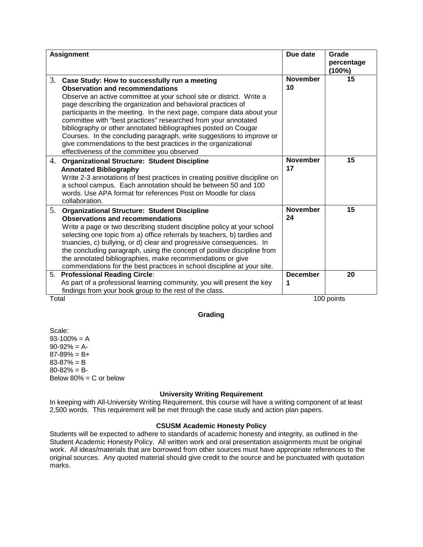| <b>Assignment</b> |                                                                                                                                                                                                                                                                                                                                                                                                                                                                                                                                                                                                                                          | Due date              | Grade<br>percentage<br>$(100\%)$ |
|-------------------|------------------------------------------------------------------------------------------------------------------------------------------------------------------------------------------------------------------------------------------------------------------------------------------------------------------------------------------------------------------------------------------------------------------------------------------------------------------------------------------------------------------------------------------------------------------------------------------------------------------------------------------|-----------------------|----------------------------------|
| 3.                | Case Study: How to successfully run a meeting<br><b>Observation and recommendations</b><br>Observe an active committee at your school site or district. Write a<br>page describing the organization and behavioral practices of<br>participants in the meeting. In the next page, compare data about your<br>committee with "best practices" researched from your annotated<br>bibliography or other annotated bibliographies posted on Cougar<br>Courses. In the concluding paragraph, write suggestions to improve or<br>give commendations to the best practices in the organizational<br>effectiveness of the committee you observed | <b>November</b><br>10 | 15                               |
| 4.                | <b>Organizational Structure: Student Discipline</b><br><b>Annotated Bibliography</b><br>Write 2-3 annotations of best practices in creating positive discipline on<br>a school campus. Each annotation should be between 50 and 100<br>words. Use APA format for references Post on Moodle for class<br>collaboration.                                                                                                                                                                                                                                                                                                                   | <b>November</b><br>17 | 15                               |
| 5.                | <b>Organizational Structure: Student Discipline</b><br><b>Observations and recommendations</b><br>Write a page or two describing student discipline policy at your school<br>selecting one topic from a) office referrals by teachers, b) tardies and<br>truancies, c) bullying, or d) clear and progressive consequences. In<br>the concluding paragraph, using the concept of positive discipline from<br>the annotated bibliographies, make recommendations or give<br>commendations for the best practices in school discipline at your site.                                                                                        | <b>November</b><br>24 | 15                               |
| Total             | 5. Professional Reading Circle:<br>As part of a professional learning community, you will present the key<br>findings from your book group to the rest of the class.                                                                                                                                                                                                                                                                                                                                                                                                                                                                     | <b>December</b><br>1  | 20<br>100 points                 |

### **Grading**

Scale:  $93-100% = A$  $90-92% = A$  $87-89\% = B+$  $83 - 87% = B$  $80 - 82\% = B$ Below  $80\% = C$  or below

### **University Writing Requirement**

In keeping with All-University Writing Requirement, this course will have a writing component of at least 2,500 words. This requirement will be met through the case study and action plan papers.

### **CSUSM Academic Honesty Policy**

Students will be expected to adhere to standards of academic honesty and integrity, as outlined in the Student Academic Honesty Policy. All written work and oral presentation assignments must be original work. All ideas/materials that are borrowed from other sources must have appropriate references to the original sources. Any quoted material should give credit to the source and be punctuated with quotation marks.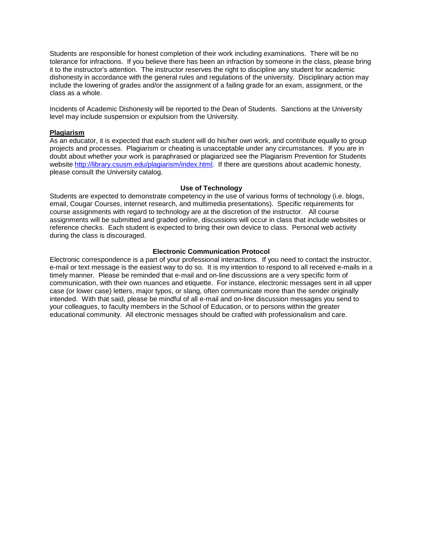Students are responsible for honest completion of their work including examinations. There will be no tolerance for infractions. If you believe there has been an infraction by someone in the class, please bring it to the instructor's attention. The instructor reserves the right to discipline any student for academic dishonesty in accordance with the general rules and regulations of the university. Disciplinary action may include the lowering of grades and/or the assignment of a failing grade for an exam, assignment, or the class as a whole.

Incidents of Academic Dishonesty will be reported to the Dean of Students. Sanctions at the University level may include suspension or expulsion from the University.

### **Plagiarism**

As an educator, it is expected that each student will do his/her own work, and contribute equally to group projects and processes. Plagiarism or cheating is unacceptable under any circumstances. If you are in doubt about whether your work is paraphrased or plagiarized see the Plagiarism Prevention for Students website [http://library.csusm.edu/plagiarism/index.html.](http://library.csusm.edu/plagiarism/index.html) If there are questions about academic honesty, please consult the University catalog.

#### **Use of Technology**

Students are expected to demonstrate competency in the use of various forms of technology (i.e. blogs, email, Cougar Courses, internet research, and multimedia presentations). Specific requirements for course assignments with regard to technology are at the discretion of the instructor. All course assignments will be submitted and graded online, discussions will occur in class that include websites or reference checks. Each student is expected to bring their own device to class. Personal web activity during the class is discouraged.

#### **Electronic Communication Protocol**

Electronic correspondence is a part of your professional interactions. If you need to contact the instructor, e-mail or text message is the easiest way to do so. It is my intention to respond to all received e-mails in a timely manner. Please be reminded that e-mail and on-line discussions are a very specific form of communication, with their own nuances and etiquette. For instance, electronic messages sent in all upper case (or lower case) letters, major typos, or slang, often communicate more than the sender originally intended. With that said, please be mindful of all e-mail and on-line discussion messages you send to your colleagues, to faculty members in the School of Education, or to persons within the greater educational community. All electronic messages should be crafted with professionalism and care.